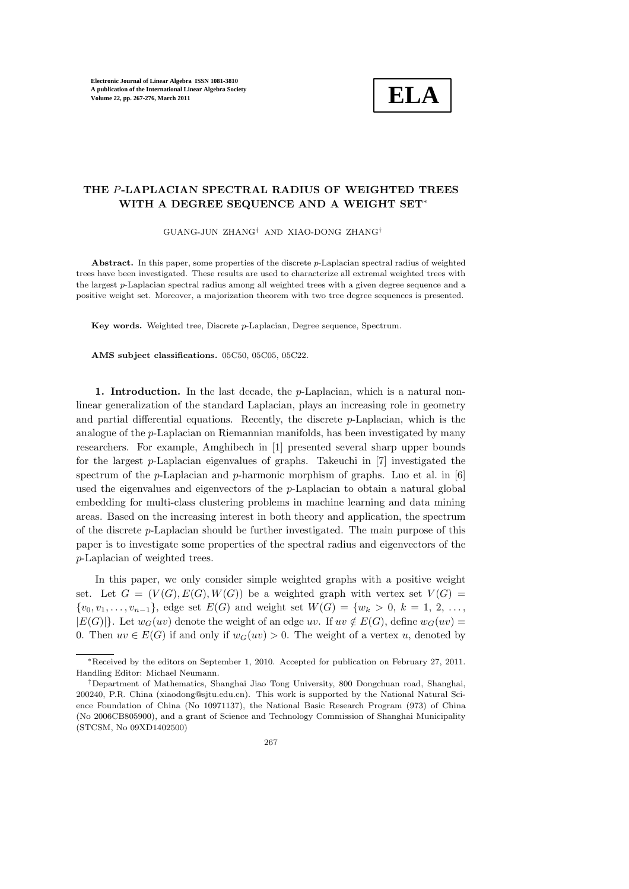

## THE P-LAPLACIAN SPECTRAL RADIUS OF WEIGHTED TREES WITH A DEGREE SEQUENCE AND A WEIGHT SET<sup>∗</sup>

GUANG-JUN ZHANG† AND XIAO-DONG ZHANG†

Abstract. In this paper, some properties of the discrete  $p$ -Laplacian spectral radius of weighted trees have been investigated. These results are used to characterize all extremal weighted trees with the largest p-Laplacian spectral radius among all weighted trees with a given degree sequence and a positive weight set. Moreover, a majorization theorem with two tree degree sequences is presented.

Key words. Weighted tree, Discrete p-Laplacian, Degree sequence, Spectrum.

AMS subject classifications. 05C50, 05C05, 05C22.

1. Introduction. In the last decade, the  $p$ -Laplacian, which is a natural nonlinear generalization of the standard Laplacian, plays an increasing role in geometry and partial differential equations. Recently, the discrete  $p$ -Laplacian, which is the analogue of the p-Laplacian on Riemannian manifolds, has been investigated by many researchers. For example, Amghibech in [1] presented several sharp upper bounds for the largest  $p$ -Laplacian eigenvalues of graphs. Takeuchi in [7] investigated the spectrum of the p-Laplacian and p-harmonic morphism of graphs. Luo et al. in  $[6]$ used the eigenvalues and eigenvectors of the  $p$ -Laplacian to obtain a natural global embedding for multi-class clustering problems in machine learning and data mining areas. Based on the increasing interest in both theory and application, the spectrum of the discrete p-Laplacian should be further investigated. The main purpose of this paper is to investigate some properties of the spectral radius and eigenvectors of the p-Laplacian of weighted trees.

In this paper, we only consider simple weighted graphs with a positive weight set. Let  $G = (V(G), E(G), W(G))$  be a weighted graph with vertex set  $V(G)$  =  $\{v_0, v_1, \ldots, v_{n-1}\},$  edge set  $E(G)$  and weight set  $W(G) = \{w_k > 0, k = 1, 2, \ldots,$  $|E(G)|$ . Let  $w_G(uv)$  denote the weight of an edge uv. If  $uv \notin E(G)$ , define  $w_G(uv)$  = 0. Then  $uv \in E(G)$  if and only if  $w_G(uv) > 0$ . The weight of a vertex u, denoted by

<sup>∗</sup>Received by the editors on September 1, 2010. Accepted for publication on February 27, 2011. Handling Editor: Michael Neumann.

<sup>†</sup>Department of Mathematics, Shanghai Jiao Tong University, 800 Dongchuan road, Shanghai, 200240, P.R. China (xiaodong@sjtu.edu.cn). This work is supported by the National Natural Science Foundation of China (No 10971137), the National Basic Research Program (973) of China (No 2006CB805900), and a grant of Science and Technology Commission of Shanghai Municipality (STCSM, No 09XD1402500)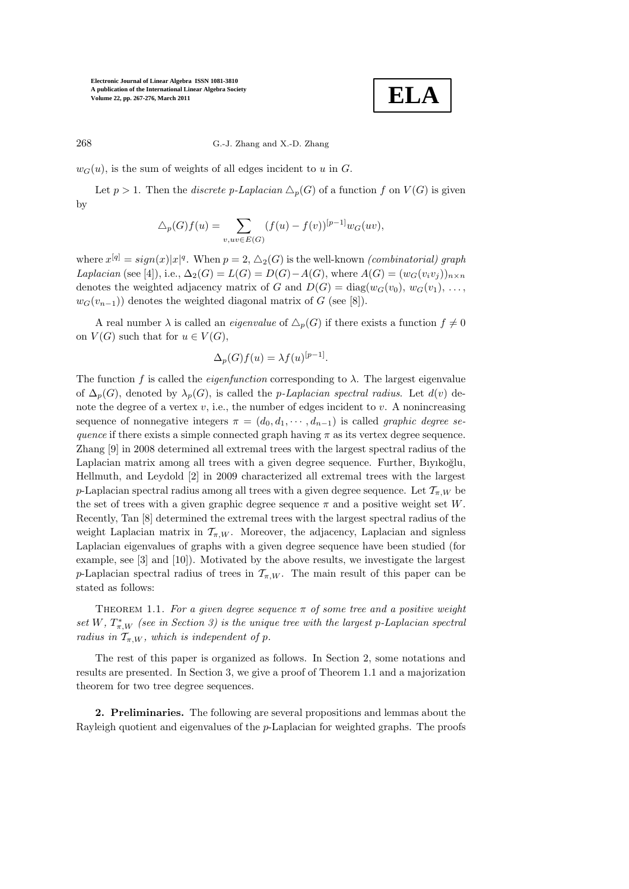

268 G.-J. Zhang and X.-D. Zhang

 $w_G(u)$ , is the sum of weights of all edges incident to u in G.

Let  $p > 1$ . Then the *discrete* p-Laplacian  $\Delta_p(G)$  of a function f on  $V(G)$  is given by

$$
\triangle_p(G)f(u) = \sum_{v, uv \in E(G)} (f(u) - f(v))^{[p-1]} w_G(uv),
$$

where  $x^{[q]} = sign(x)|x|^q$ . When  $p = 2$ ,  $\triangle_2(G)$  is the well-known *(combinatorial) graph* Laplacian (see [4]), i.e.,  $\Delta_2(G) = L(G) = D(G) - A(G)$ , where  $A(G) = (w_G(v_iv_j))_{n \times n}$ denotes the weighted adjacency matrix of G and  $D(G) = \text{diag}(w_G(v_0), w_G(v_1), \ldots,$  $w_G(v_{n-1})$  denotes the weighted diagonal matrix of G (see [8]).

A real number  $\lambda$  is called an *eigenvalue* of  $\Delta_p(G)$  if there exists a function  $f \neq 0$ on  $V(G)$  such that for  $u \in V(G)$ ,

$$
\Delta_p(G)f(u) = \lambda f(u)^{[p-1]}.
$$

The function f is called the *eigenfunction* corresponding to  $\lambda$ . The largest eigenvalue of  $\Delta_p(G)$ , denoted by  $\lambda_p(G)$ , is called the *p-Laplacian spectral radius*. Let  $d(v)$  denote the degree of a vertex  $v$ , i.e., the number of edges incident to  $v$ . A nonincreasing sequence of nonnegative integers  $\pi = (d_0, d_1, \cdots, d_{n-1})$  is called graphic degree sequence if there exists a simple connected graph having  $\pi$  as its vertex degree sequence. Zhang [9] in 2008 determined all extremal trees with the largest spectral radius of the Laplacian matrix among all trees with a given degree sequence. Further, Biyikoğlu, Hellmuth, and Leydold [2] in 2009 characterized all extremal trees with the largest p-Laplacian spectral radius among all trees with a given degree sequence. Let  $\mathcal{T}_{\pi,W}$  be the set of trees with a given graphic degree sequence  $\pi$  and a positive weight set W. Recently, Tan [8] determined the extremal trees with the largest spectral radius of the weight Laplacian matrix in  $\mathcal{T}_{\pi,W}$ . Moreover, the adjacency, Laplacian and signless Laplacian eigenvalues of graphs with a given degree sequence have been studied (for example, see [3] and [10]). Motivated by the above results, we investigate the largest p-Laplacian spectral radius of trees in  $\mathcal{T}_{\pi,W}$ . The main result of this paper can be stated as follows:

THEOREM 1.1. For a given degree sequence  $\pi$  of some tree and a positive weight set W,  $T^*_{\pi,W}$  (see in Section 3) is the unique tree with the largest p-Laplacian spectral radius in  $T_{\pi,W}$ , which is independent of p.

The rest of this paper is organized as follows. In Section 2, some notations and results are presented. In Section 3, we give a proof of Theorem 1.1 and a majorization theorem for two tree degree sequences.

2. Preliminaries. The following are several propositions and lemmas about the Rayleigh quotient and eigenvalues of the p-Laplacian for weighted graphs. The proofs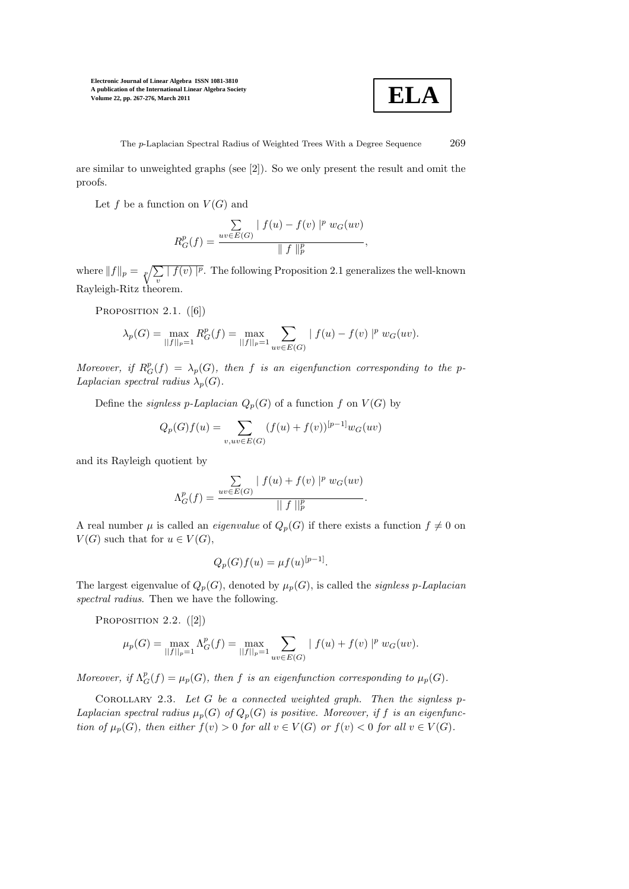

The p-Laplacian Spectral Radius of Weighted Trees With a Degree Sequence 269

are similar to unweighted graphs (see [2]). So we only present the result and omit the proofs.

Let f be a function on  $V(G)$  and

$$
R_G^p(f) = \frac{\sum_{uv \in E(G)} |f(u) - f(v)|^p w_G(uv)}{\|f\|_p^p},
$$

where  $||f||_p = \sqrt[p]{\sum_{v} |f(v)|^p}$ . The following Proposition 2.1 generalizes the well-known Rayleigh-Ritz theorem.

PROPOSITION  $2.1.$  ([6])

$$
\lambda_p(G) = \max_{||f||_p = 1} R_G^p(f) = \max_{||f||_p = 1} \sum_{uv \in E(G)} |f(u) - f(v)|^p w_G(uv).
$$

Moreover, if  $R_G^p(f) = \lambda_p(G)$ , then f is an eigenfunction corresponding to the p-Laplacian spectral radius  $\lambda_p(G)$ .

Define the *signless p-Laplacian*  $Q_p(G)$  of a function f on  $V(G)$  by

$$
Q_p(G)f(u) = \sum_{v, uv \in E(G)} (f(u) + f(v))^{[p-1]} w_G(uv)
$$

and its Rayleigh quotient by

$$
\Lambda_G^p(f) = \frac{\sum_{uv \in E(G)} |f(u) + f(v)|^p w_G(uv)}{||f||_p^p}.
$$

A real number  $\mu$  is called an *eigenvalue* of  $Q_p(G)$  if there exists a function  $f \neq 0$  on  $V(G)$  such that for  $u \in V(G)$ ,

$$
Q_p(G)f(u) = \mu f(u)^{[p-1]}.
$$

The largest eigenvalue of  $Q_p(G)$ , denoted by  $\mu_p(G)$ , is called the *signless p-Laplacian* spectral radius. Then we have the following.

PROPOSITION 2.2. ([2])

$$
\mu_p(G) = \max_{||f||_p = 1} \Lambda_G^p(f) = \max_{||f||_p = 1} \sum_{uv \in E(G)} |f(u) + f(v)|^p w_G(uv).
$$

Moreover, if  $\Lambda_G^p(f) = \mu_p(G)$ , then f is an eigenfunction corresponding to  $\mu_p(G)$ .

COROLLARY 2.3. Let  $G$  be a connected weighted graph. Then the signless p-Laplacian spectral radius  $\mu_p(G)$  of  $Q_p(G)$  is positive. Moreover, if f is an eigenfunction of  $\mu_p(G)$ , then either  $f(v) > 0$  for all  $v \in V(G)$  or  $f(v) < 0$  for all  $v \in V(G)$ .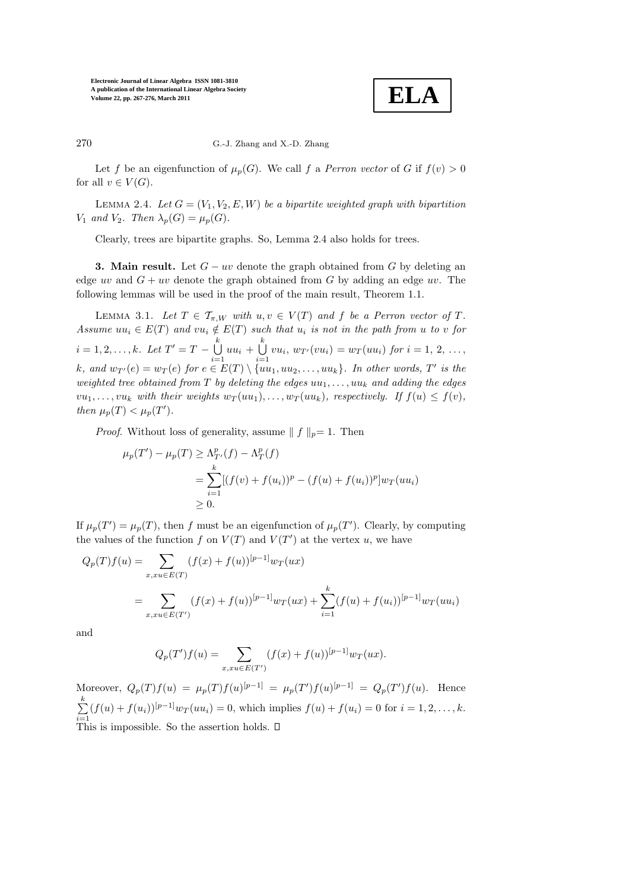

## 270 G.-J. Zhang and X.-D. Zhang

Let f be an eigenfunction of  $\mu_p(G)$ . We call f a *Perron vector* of G if  $f(v) > 0$ for all  $v \in V(G)$ .

LEMMA 2.4. Let  $G = (V_1, V_2, E, W)$  be a bipartite weighted graph with bipartition  $V_1$  and  $V_2$ . Then  $\lambda_p(G) = \mu_p(G)$ .

Clearly, trees are bipartite graphs. So, Lemma 2.4 also holds for trees.

**3. Main result.** Let  $G - uv$  denote the graph obtained from G by deleting an edge uv and  $G + uv$  denote the graph obtained from G by adding an edge uv. The following lemmas will be used in the proof of the main result, Theorem 1.1.

LEMMA 3.1. Let  $T \in \mathcal{T}_{\pi,W}$  with  $u, v \in V(T)$  and f be a Perron vector of T. Assume  $uu_i \in E(T)$  and  $vu_i \notin E(T)$  such that  $u_i$  is not in the path from u to v for  $i = 1, 2, \ldots, k$ . Let  $T' = T - \bigcup_{k=1}^{k}$  $\bigcup_{i=1}^k uu_i + \bigcup_{i=1}^k$  $\bigcup_{i=1} vu_i, w_{T'}(vu_i) = w_T(uu_i)$  for  $i = 1, 2, ...,$ k, and  $w_{T'}(e) = w_T(e)$  for  $e \in E(T) \setminus \{uu_1, uu_2, \ldots, uu_k\}$ . In other words, T' is the weighted tree obtained from T by deleting the edges  $uu_1, \ldots, uu_k$  and adding the edges  $vu_1, \ldots, vu_k$  with their weights  $w_T(uu_1), \ldots, w_T(uu_k)$ , respectively. If  $f(u) \leq f(v)$ , then  $\mu_p(T) < \mu_p(T')$ .

*Proof.* Without loss of generality, assume  $\| f \|_p = 1$ . Then

$$
\mu_p(T') - \mu_p(T) \ge \Lambda_{T'}^p(f) - \Lambda_T^p(f)
$$
  
= 
$$
\sum_{i=1}^k [(f(v) + f(u_i))^p - (f(u) + f(u_i))^p] w_T(uu_i)
$$
  

$$
\ge 0.
$$

If  $\mu_p(T') = \mu_p(T)$ , then f must be an eigenfunction of  $\mu_p(T')$ . Clearly, by computing the values of the function f on  $V(T)$  and  $V(T')$  at the vertex u, we have

$$
Q_p(T)f(u) = \sum_{x,xu \in E(T)} (f(x) + f(u))^{[p-1]} w_T(ux)
$$
  
= 
$$
\sum_{x,xu \in E(T')} (f(x) + f(u))^{[p-1]} w_T(ux) + \sum_{i=1}^k (f(u) + f(u_i))^{[p-1]} w_T(uu_i)
$$

and

$$
Q_p(T')f(u) = \sum_{x,xu \in E(T')} (f(x) + f(u))^{[p-1]} w_T(ux).
$$

Moreover,  $Q_p(T)f(u) = \mu_p(T)f(u)^{[p-1]} = \mu_p(T')f(u)^{[p-1]} = Q_p(T')f(u)$ . Hence  $\sum^k$  $\sum_{i=1}^{n} (f(u) + f(u_i))^{[p-1]} w_T(uu_i) = 0$ , which implies  $f(u) + f(u_i) = 0$  for  $i = 1, 2, ..., k$ . This is impossible. So the assertion holds.  $\square$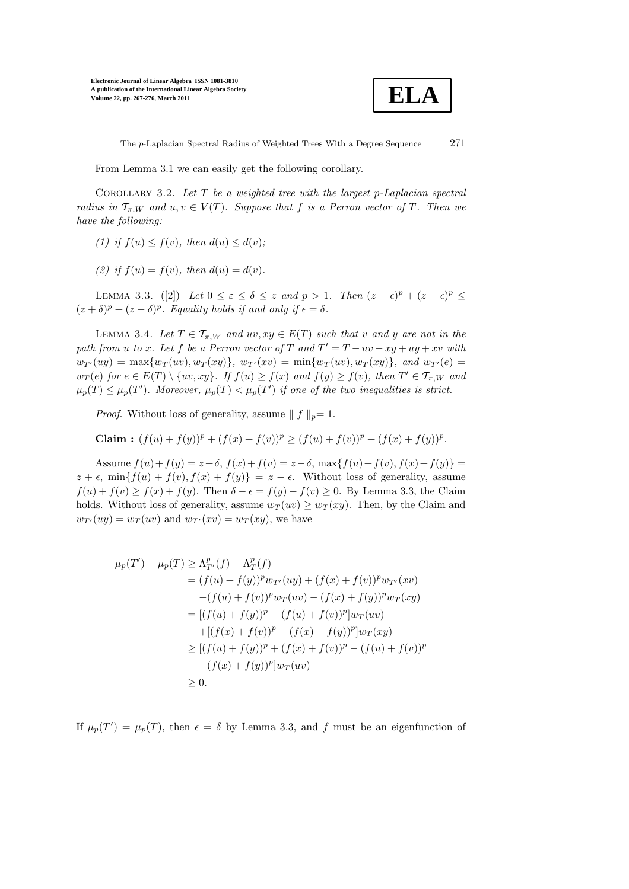

The p-Laplacian Spectral Radius of Weighted Trees With a Degree Sequence 271

From Lemma 3.1 we can easily get the following corollary.

COROLLARY 3.2. Let  $T$  be a weighted tree with the largest p-Laplacian spectral radius in  $\mathcal{T}_{\pi,W}$  and  $u, v \in V(T)$ . Suppose that f is a Perron vector of T. Then we have the following:

- (1) if  $f(u) \leq f(v)$ , then  $d(u) \leq d(v)$ ;
- (2) if  $f(u) = f(v)$ , then  $d(u) = d(v)$ .

LEMMA 3.3. ([2]) Let  $0 \leq \varepsilon \leq \delta \leq z$  and  $p > 1$ . Then  $(z + \epsilon)^p + (z - \epsilon)^p \leq$  $(z + \delta)^p + (z - \delta)^p$ . Equality holds if and only if  $\epsilon = \delta$ .

LEMMA 3.4. Let  $T \in \mathcal{T}_{\pi,W}$  and  $uv, xy \in E(T)$  such that v and y are not in the path from u to x. Let f be a Perron vector of T and  $T' = T - uv - xy + uy + xv$  with  $w_{T'}(uy) = \max\{w_T(uv), w_T(xy)\}, w_{T'}(xv) = \min\{w_T(uv), w_T(xy)\}, \text{ and } w_{T'}(e) =$  $w_T(e)$  for  $e \in E(T) \setminus \{uv, xy\}$ . If  $f(u) \ge f(x)$  and  $f(y) \ge f(v)$ , then  $T' \in \mathcal{T}_{\pi,W}$  and  $\mu_p(T) \leq \mu_p(T')$ . Moreover,  $\mu_p(T) < \mu_p(T')$  if one of the two inequalities is strict.

*Proof.* Without loss of generality, assume  $\| f \|_p = 1$ .

Claim:  $(f(u) + f(y))^p + (f(x) + f(v))^p \ge (f(u) + f(v))^p + (f(x) + f(y))^p$ .

Assume  $f(u) + f(y) = z + \delta$ ,  $f(x) + f(v) = z - \delta$ ,  $\max\{f(u) + f(v), f(x) + f(y)\} =$  $z + \epsilon$ , min $\{f(u) + f(v), f(x) + f(y)\} = z - \epsilon$ . Without loss of generality, assume  $f(u) + f(v) \ge f(x) + f(y)$ . Then  $\delta - \epsilon = f(y) - f(v) \ge 0$ . By Lemma 3.3, the Claim holds. Without loss of generality, assume  $w_T(uv) \geq w_T(xy)$ . Then, by the Claim and  $w_{T'}(uy) = w_T(uv)$  and  $w_{T'}(xv) = w_T(xy)$ , we have

$$
\mu_p(T') - \mu_p(T) \ge \Lambda_{T'}^p(f) - \Lambda_T^p(f)
$$
  
=  $(f(u) + f(y))^p w_{T'}(uy) + (f(x) + f(v))^p w_{T'}(xv)$   
 $-(f(u) + f(v))^p w_T(uv) - (f(x) + f(y))^p w_T(xy)$   
=  $[(f(u) + f(y))^p - (f(u) + f(v))^p] w_T(uv)$   
 $+([(f(x) + f(v))^p - (f(x) + f(y))^p] w_T(xy)$   
 $\ge [(f(u) + f(y))^p + (f(x) + f(v))^p - (f(u) + f(v))^p$   
 $-(f(x) + f(y))^p] w_T(uv)$   
 $\ge 0.$ 

If  $\mu_p(T') = \mu_p(T)$ , then  $\epsilon = \delta$  by Lemma 3.3, and f must be an eigenfunction of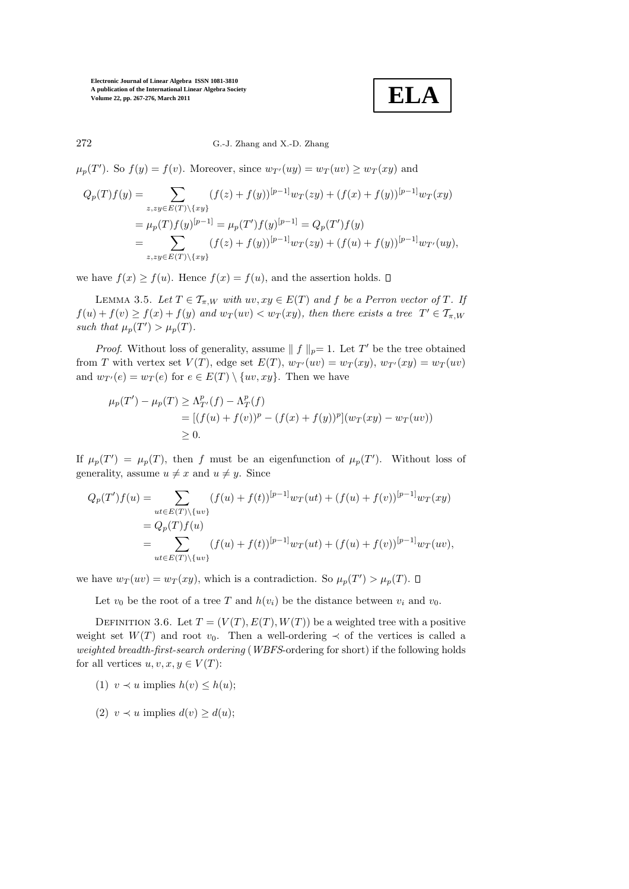**ELA**

272 G.-J. Zhang and X.-D. Zhang

 $\mu_p(T')$ . So  $f(y) = f(v)$ . Moreover, since  $w_{T'}(uy) = w_T(uv) \ge w_T(xy)$  and

$$
Q_p(T)f(y) = \sum_{z, zy \in E(T) \setminus \{xy\}} (f(z) + f(y))^{[p-1]} w_T(zy) + (f(x) + f(y))^{[p-1]} w_T(xy)
$$
  
=  $\mu_p(T)f(y)^{[p-1]} = \mu_p(T')f(y)^{[p-1]} = Q_p(T')f(y)$   
=  $\sum_{z, zy \in E(T) \setminus \{xy\}} (f(z) + f(y))^{[p-1]} w_T(zy) + (f(u) + f(y))^{[p-1]} w_{T'}(uy),$ 

we have  $f(x) > f(u)$ . Hence  $f(x) = f(u)$ , and the assertion holds.  $\Box$ 

LEMMA 3.5. Let  $T \in \mathcal{T}_{\pi,W}$  with  $uv, xy \in E(T)$  and f be a Perron vector of T. If  $f(u) + f(v) \ge f(x) + f(y)$  and  $w_T(uv) < w_T(xy)$ , then there exists a tree  $T' \in \mathcal{T}_{\pi,W}$ such that  $\mu_p(T') > \mu_p(T)$ .

*Proof.* Without loss of generality, assume  $|| f ||_p = 1$ . Let T' be the tree obtained from T with vertex set  $V(T)$ , edge set  $E(T)$ ,  $w_{T'}(uv) = w_T(xy)$ ,  $w_{T'}(xy) = w_T(uv)$ and  $w_{T'}(e) = w_T(e)$  for  $e \in E(T) \setminus \{uv, xy\}$ . Then we have

$$
\mu_p(T') - \mu_p(T) \ge \Lambda_{T'}^p(f) - \Lambda_T^p(f)
$$
  
= 
$$
[(f(u) + f(v))^p - (f(x) + f(y))^p](w_T(xy) - w_T(uv))
$$
  

$$
\ge 0.
$$

If  $\mu_p(T') = \mu_p(T)$ , then f must be an eigenfunction of  $\mu_p(T')$ . Without loss of generality, assume  $u \neq x$  and  $u \neq y$ . Since

$$
Q_p(T')f(u) = \sum_{ut \in E(T) \setminus \{uv\}} (f(u) + f(t))^{[p-1]} w_T(ut) + (f(u) + f(v))^{[p-1]} w_T(xy)
$$
  
= 
$$
Q_p(T)f(u)
$$
  
= 
$$
\sum_{ut \in E(T) \setminus \{uv\}} (f(u) + f(t))^{[p-1]} w_T(ut) + (f(u) + f(v))^{[p-1]} w_T(uv),
$$

we have  $w_T(uv) = w_T(xy)$ , which is a contradiction. So  $\mu_p(T') > \mu_p(T)$ .

Let  $v_0$  be the root of a tree T and  $h(v_i)$  be the distance between  $v_i$  and  $v_0$ .

DEFINITION 3.6. Let  $T = (V(T), E(T), W(T))$  be a weighted tree with a positive weight set  $W(T)$  and root  $v_0$ . Then a well-ordering  $\prec$  of the vertices is called a weighted breadth-first-search ordering (WBFS-ordering for short) if the following holds for all vertices  $u, v, x, y \in V(T)$ :

(1) 
$$
v \prec u
$$
 implies  $h(v) \leq h(u)$ ;

(2)  $v \prec u$  implies  $d(v) \geq d(u)$ ;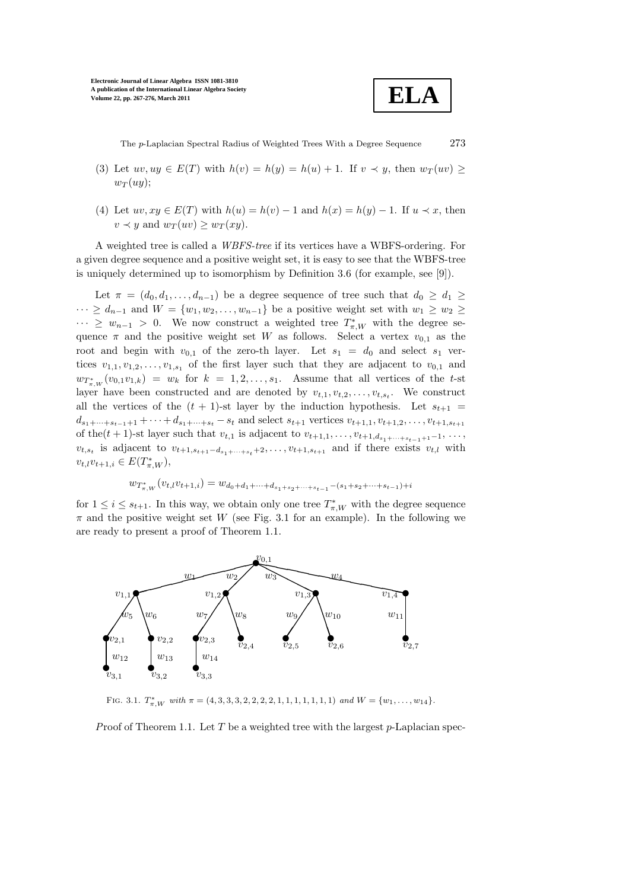

The p-Laplacian Spectral Radius of Weighted Trees With a Degree Sequence 273

- (3) Let  $uv, uy \in E(T)$  with  $h(v) = h(y) = h(u) + 1$ . If  $v \prec y$ , then  $w_T(uv) \ge$  $w_T(uy);$
- (4) Let  $uv, xy \in E(T)$  with  $h(u) = h(v) 1$  and  $h(x) = h(y) 1$ . If  $u \prec x$ , then  $v \prec y$  and  $w_T(uv) \geq w_T(xy)$ .

A weighted tree is called a WBFS-tree if its vertices have a WBFS-ordering. For a given degree sequence and a positive weight set, it is easy to see that the WBFS-tree is uniquely determined up to isomorphism by Definition 3.6 (for example, see [9]).

Let  $\pi = (d_0, d_1, \ldots, d_{n-1})$  be a degree sequence of tree such that  $d_0 \geq d_1 \geq$  $\cdots \geq d_{n-1}$  and  $W = \{w_1, w_2, \ldots, w_{n-1}\}$  be a positive weight set with  $w_1 \geq w_2 \geq$  $\cdots \geq w_{n-1} > 0$ . We now construct a weighted tree  $T^*_{\pi,W}$  with the degree sequence  $\pi$  and the positive weight set W as follows. Select a vertex  $v_{0,1}$  as the root and begin with  $v_{0,1}$  of the zero-th layer. Let  $s_1 = d_0$  and select  $s_1$  vertices  $v_{1,1}, v_{1,2}, \ldots, v_{1,s_1}$  of the first layer such that they are adjacent to  $v_{0,1}$  and  $w_{T^*_{\pi,W}}(v_{0,1}v_{1,k}) = w_k$  for  $k = 1, 2, \ldots, s_1$ . Assume that all vertices of the t-st layer have been constructed and are denoted by  $v_{t,1}, v_{t,2}, \ldots, v_{t,s_t}$ . We construct all the vertices of the  $(t + 1)$ -st layer by the induction hypothesis. Let  $s_{t+1}$  =  $d_{s_1+\cdots+s_{t-1}+1}+\cdots+d_{s_1+\cdots+s_t}-s_t$  and select  $s_{t+1}$  vertices  $v_{t+1,1}, v_{t+1,2}, \ldots, v_{t+1,s_{t+1}}$ of the(t + 1)-st layer such that  $v_{t,1}$  is adjacent to  $v_{t+1,1}, \ldots, v_{t+1,d_{s_1}+\cdots+s_{t-1}+1}-1, \ldots,$  $v_{t,s_t}$  is adjacent to  $v_{t+1,s_{t+1}-d_{s_1+\cdots+s_t}+2},\ldots,v_{t+1,s_{t+1}}$  and if there exists  $v_{t,l}$  with  $v_{t,l}v_{t+1,i} \in E(T^*_{\pi,W}),$ 

$$
w_{T^*_{\pi,W}}(v_{t,l}v_{t+1,i}) = w_{d_0 + d_1 + \dots + d_{s_1 + s_2 + \dots + s_{t-1}} - (s_1 + s_2 + \dots + s_{t-1}) + i}
$$

for  $1 \leq i \leq s_{t+1}$ . In this way, we obtain only one tree  $T^*_{\pi, W}$  with the degree sequence  $\pi$  and the positive weight set W (see Fig. 3.1 for an example). In the following we are ready to present a proof of Theorem 1.1.



FIG. 3.1.  $T^*_{\pi, W}$  with  $\pi = (4, 3, 3, 3, 2, 2, 2, 2, 1, 1, 1, 1, 1, 1, 1)$  and  $W = \{w_1, \ldots, w_{14}\}.$ 

Proof of Theorem 1.1. Let T be a weighted tree with the largest  $p$ -Laplacian spec-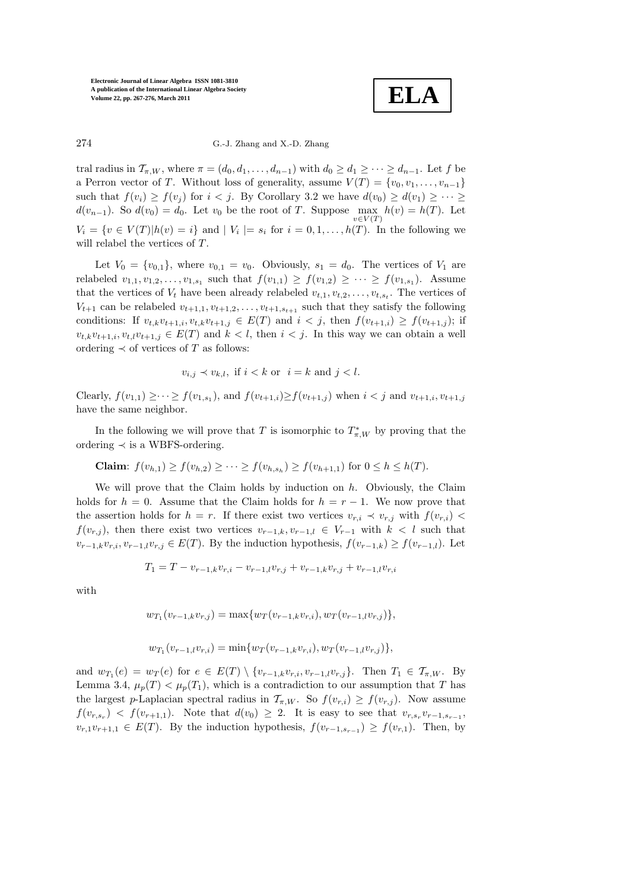**ELA**

274 G.-J. Zhang and X.-D. Zhang

tral radius in  $\mathcal{T}_{\pi,W}$ , where  $\pi = (d_0, d_1, \ldots, d_{n-1})$  with  $d_0 \geq d_1 \geq \cdots \geq d_{n-1}$ . Let f be a Perron vector of T. Without loss of generality, assume  $V(T) = \{v_0, v_1, \ldots, v_{n-1}\}\$ such that  $f(v_i) \ge f(v_j)$  for  $i < j$ . By Corollary 3.2 we have  $d(v_0) \ge d(v_1) \ge \cdots \ge$  $d(v_{n-1})$ . So  $d(v_0) = d_0$ . Let  $v_0$  be the root of T. Suppose  $\max_{v \in V(T)} h(v) = h(T)$ . Let  $V_i = \{v \in V(T) | h(v) = i\}$  and  $|V_i| = s_i$  for  $i = 0, 1, \ldots, h(T)$ . In the following we will relabel the vertices of T.

Let  $V_0 = \{v_{0,1}\}\$ , where  $v_{0,1} = v_0$ . Obviously,  $s_1 = d_0$ . The vertices of  $V_1$  are relabeled  $v_{1,1}, v_{1,2}, \ldots, v_{1,s_1}$  such that  $f(v_{1,1}) \ge f(v_{1,2}) \ge \cdots \ge f(v_{1,s_1})$ . Assume that the vertices of  $V_t$  have been already relabeled  $v_{t,1}, v_{t,2}, \ldots, v_{t,s_t}$ . The vertices of  $V_{t+1}$  can be relabeled  $v_{t+1,1}, v_{t+1,2}, \ldots, v_{t+1,s_{t+1}}$  such that they satisfy the following conditions: If  $v_{t,k}v_{t+1,i}, v_{t,k}v_{t+1,j} \in E(T)$  and  $i < j$ , then  $f(v_{t+1,i}) \geq f(v_{t+1,j})$ ; if  $v_{t,k}v_{t+1,i}, v_{t,l}v_{t+1,j} \in E(T)$  and  $k < l$ , then  $i < j$ . In this way we can obtain a well ordering  $\prec$  of vertices of T as follows:

$$
v_{i,j} \prec v_{k,l}, \text{ if } i < k \text{ or } i = k \text{ and } j < l.
$$

Clearly,  $f(v_{1,1}) \geq \cdots \geq f(v_{1,s_1})$ , and  $f(v_{t+1,i}) \geq f(v_{t+1,j})$  when  $i < j$  and  $v_{t+1,i}, v_{t+1,j}$ have the same neighbor.

In the following we will prove that T is isomorphic to  $T^*_{\pi,W}$  by proving that the ordering  $\prec$  is a WBFS-ordering.

**Claim**: 
$$
f(v_{h,1}) \ge f(v_{h,2}) \ge \cdots \ge f(v_{h,s_h}) \ge f(v_{h+1,1})
$$
 for  $0 \le h \le h(T)$ .

We will prove that the Claim holds by induction on  $h$ . Obviously, the Claim holds for  $h = 0$ . Assume that the Claim holds for  $h = r - 1$ . We now prove that the assertion holds for  $h = r$ . If there exist two vertices  $v_{r,i} \prec v_{r,j}$  with  $f(v_{r,i})$  $f(v_{r,j})$ , then there exist two vertices  $v_{r-1,k}, v_{r-1,l} \in V_{r-1}$  with  $k < l$  such that  $v_{r-1,k}v_{r,i}, v_{r-1,l}v_{r,j} \in E(T)$ . By the induction hypothesis,  $f(v_{r-1,k}) \ge f(v_{r-1,l})$ . Let

$$
T_1 = T - v_{r-1,k}v_{r,i} - v_{r-1,l}v_{r,j} + v_{r-1,k}v_{r,j} + v_{r-1,l}v_{r,i}
$$

with

$$
w_{T_1}(v_{r-1,k}v_{r,j}) = \max\{w_T(v_{r-1,k}v_{r,i}), w_T(v_{r-1,l}v_{r,j})\},\,
$$

$$
w_{T_1}(v_{r-1,l}v_{r,i}) = \min\{w_T(v_{r-1,k}v_{r,i}), w_T(v_{r-1,l}v_{r,j})\},\,
$$

and  $w_{T_1}(e) = w_T(e)$  for  $e \in E(T) \setminus \{v_{r-1,k}v_{r,i}, v_{r-1,l}v_{r,j}\}$ . Then  $T_1 \in \mathcal{T}_{\pi,W}$ . By Lemma 3.4,  $\mu_p(T) < \mu_p(T_1)$ , which is a contradiction to our assumption that T has the largest p-Laplacian spectral radius in  $\mathcal{T}_{\pi,W}$ . So  $f(v_{r,i}) \geq f(v_{r,i})$ . Now assume  $f(v_{r,s_r}) \leq f(v_{r+1,1})$ . Note that  $d(v_0) \geq 2$ . It is easy to see that  $v_{r,s_r}v_{r-1,s_{r-1}}$ ,  $v_{r,1}v_{r+1,1} \in E(T)$ . By the induction hypothesis,  $f(v_{r-1,s_{r-1}}) \ge f(v_{r,1})$ . Then, by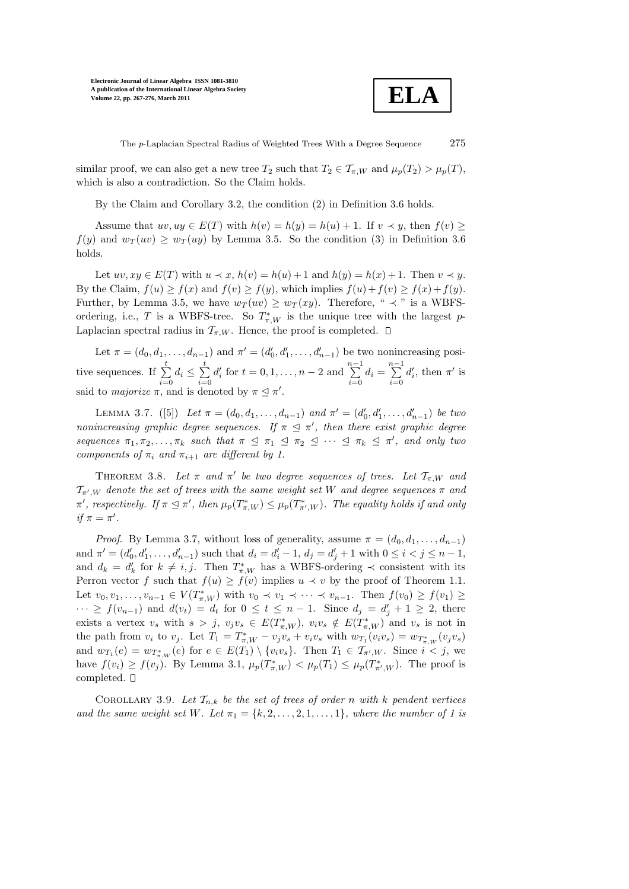

The p-Laplacian Spectral Radius of Weighted Trees With a Degree Sequence 275

similar proof, we can also get a new tree  $T_2$  such that  $T_2 \in \mathcal{T}_{\pi,W}$  and  $\mu_p(T_2) > \mu_p(T)$ , which is also a contradiction. So the Claim holds.

By the Claim and Corollary 3.2, the condition (2) in Definition 3.6 holds.

Assume that  $uv, uy \in E(T)$  with  $h(v) = h(y) = h(u) + 1$ . If  $v \prec y$ , then  $f(v) >$  $f(y)$  and  $w_T(uv) \geq w_T(uy)$  by Lemma 3.5. So the condition (3) in Definition 3.6 holds.

Let  $uv, xy \in E(T)$  with  $u \prec x$ ,  $h(v) = h(u) + 1$  and  $h(y) = h(x) + 1$ . Then  $v \prec y$ . By the Claim,  $f(u) \ge f(x)$  and  $f(v) \ge f(y)$ , which implies  $f(u) + f(v) \ge f(x) + f(y)$ . Further, by Lemma 3.5, we have  $w_T(uv) \geq w_T(xy)$ . Therefore, "  $\prec$  " is a WBFSordering, i.e., T is a WBFS-tree. So  $T^*_{\pi,W}$  is the unique tree with the largest p-Laplacian spectral radius in  $\mathcal{T}_{\pi,W}$ . Hence, the proof is completed.  $\square$ 

Let  $\pi = (d_0, d_1, \ldots, d_{n-1})$  and  $\pi' = (d'_0, d'_1, \ldots, d'_{n-1})$  be two nonincreasing positive sequences. If  $\sum_{i=1}^{t}$  $\sum_{i=0}^t d_i \leq \sum_{i=0}^t$  $i=0$  $d'_{i}$  for  $t = 0, 1, ..., n - 2$  and  $\sum_{ }^{n-1}$  $\sum_{i=0}^{n-1} d_i = \sum_{i=0}^{n-1}$  $i=0$  $d'_i$ , then  $\pi'$  is said to *majorize*  $\pi$ , and is denoted by  $\pi \leq \pi'$ .

LEMMA 3.7. ([5]) Let  $\pi = (d_0, d_1, \ldots, d_{n-1})$  and  $\pi' = (d'_0, d'_1, \ldots, d'_{n-1})$  be two nonincreasing graphic degree sequences. If  $\pi \leq \pi'$ , then there exist graphic degree sequences  $\pi_1, \pi_2, \ldots, \pi_k$  such that  $\pi \leq \pi_1 \leq \pi_2 \leq \cdots \leq \pi_k \leq \pi'$ , and only two components of  $\pi_i$  and  $\pi_{i+1}$  are different by 1.

THEOREM 3.8. Let  $\pi$  and  $\pi'$  be two degree sequences of trees. Let  $\mathcal{T}_{\pi,W}$  and  $\mathcal{T}_{\pi',W}$  denote the set of trees with the same weight set W and degree sequences  $\pi$  and  $\pi'$ , respectively. If  $\pi \leq \pi'$ , then  $\mu_p(T^*_{\pi,W}) \leq \mu_p(T^*_{\pi',W})$ . The equality holds if and only if  $\pi = \pi'$ .

*Proof.* By Lemma 3.7, without loss of generality, assume  $\pi = (d_0, d_1, \ldots, d_{n-1})$ and  $\pi' = (d'_0, d'_1, \ldots, d'_{n-1})$  such that  $d_i = d'_i - 1$ ,  $d_j = d'_j + 1$  with  $0 \le i < j \le n-1$ , and  $d_k = d'_k$  for  $k \neq i, j$ . Then  $T^*_{\pi, W}$  has a WBFS-ordering  $\prec$  consistent with its Perron vector f such that  $f(u) \ge f(v)$  implies  $u \prec v$  by the proof of Theorem 1.1. Let  $v_0, v_1, \ldots, v_{n-1} \in V(T^*_{\pi, W})$  with  $v_0 \prec v_1 \prec \cdots \prec v_{n-1}$ . Then  $f(v_0) \ge f(v_1) \ge$  $\cdots \geq f(v_{n-1})$  and  $d(v_t) = d_t$  for  $0 \leq t \leq n-1$ . Since  $d_j = d'_j + 1 \geq 2$ , there exists a vertex  $v_s$  with  $s > j$ ,  $v_jv_s \in E(T^*_{\pi,W})$ ,  $v_iv_s \notin E(T^*_{\pi,W})$  and  $v_s$  is not in the path from  $v_i$  to  $v_j$ . Let  $T_1 = T^*_{\pi, W} - v_j v_s + v_i v_s$  with  $w_{T_1}(v_i v_s) = w_{T^*_{\pi, W}}(v_j v_s)$ and  $w_{T_1}(e) = w_{T^*_{\pi, W}}(e)$  for  $e \in E(T_1) \setminus \{v_i v_s\}$ . Then  $T_1 \in \mathcal{T}_{\pi', W}$ . Since  $i < j$ , we have  $f(v_i) \ge f(v_j)$ . By Lemma 3.1,  $\mu_p(T^*_{\pi,W}) < \mu_p(T_1) \le \mu_p(T^*_{\pi',W})$ . The proof is completed.  $\square$ 

COROLLARY 3.9. Let  $\mathcal{T}_{n,k}$  be the set of trees of order n with k pendent vertices and the same weight set W. Let  $\pi_1 = \{k, 2, \ldots, 2, 1, \ldots, 1\}$ , where the number of 1 is